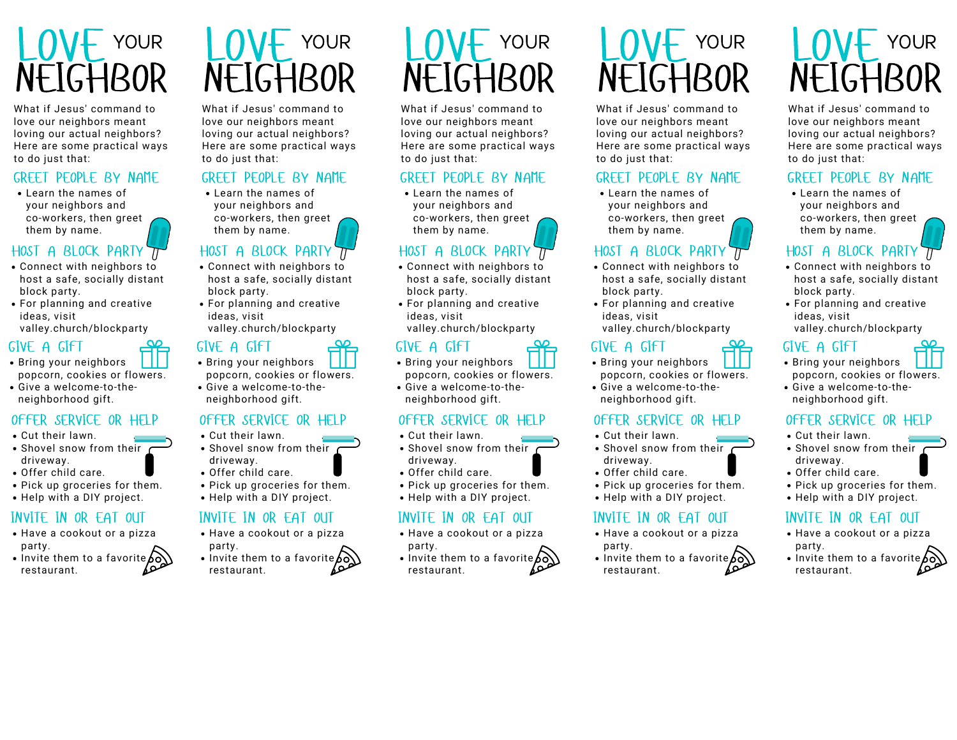

What if Jesus' command to love our neighbors meant loving our actual neighbors? Here are some practical ways to do just that:

#### GREET PEOPLE BY NAME

Learn the names of your neighbors and co-workers, then greet them by name.

#### HOST A BLOCK PARTY

- Connect with neighbors to host a safe, socially distant block party.
- For planning and creative ideas, visit valley.church/blockparty

#### GIVE A GIFT

- Bring your neighbors popcorn, cookies or flowers.
- Give a welcome-to-the neighborhood gift.

#### OFFER SERVICE OR HELP

- Cut their lawn.
- $\bullet$  Shovel snow from their  $\epsilon$ driveway.
- Offer child care.
- Pick up groceries for them.
- Help with a DIY project.

## INVITE IN OR EAT OUT

- Have a cookout or a pizza party.
- Invite them to a favorite  $\delta\delta$ restaurant.

# YOUR LOVE  $NFIGHB$

What if Jesus' command to love our neighbors meant loving our actual neighbors? Here are some practical ways to do just that:

## GREET PEOPLE BY NAME

Learn the names of your neighbors and co-workers, then greet them by name.

# HOST A BLOCK PARTY TT

- Connect with neighbors to host a safe, socially distant block party.
- For planning and creative ideas, visit valley.church/blockparty

## GIVE A GIFT

- Bring your neighbors popcorn, cookies or flowers.
- Give a welcome-to-the neighborhood gift.

#### OFFER SERVICE OR HELP

- Cut their lawn.
- $\bullet$  Shovel snow from their  $\epsilon$ driveway.
- Offer child care.
- Pick up groceries for them.
- Help with a DIY project.

#### INVITE IN OR EAT OUT

- Have a cookout or a pizza party.
- Invite them to a favorite  $\delta \delta$ restaurant.

# YOUR LOVE  $\vdash$   $\mathsf{I}$ (, $\mathsf{H}$ Ri

What if Jesus' command to love our neighbors meant loving our actual neighbors? Here are some practical ways to do just that:

## GREET PEOPLE BY NAME

Learn the names of your neighbors and co-workers, then greet them by name.

# HOST A BLOCK PARTY TT

- Connect with neighbors to host a safe, socially distant block party.
- For planning and creative ideas, visit valley.church/blockparty

#### GIVE A GIFT

- Bring your neighbors popcorn, cookies or flowers.
- Give a welcome-to-the neighborhood gift.

## OFFER SERVICE OR HELP

- Cut their lawn.
- $\cdot$  Shovel snow from their  $\epsilon$ driveway.
- Offer child care.
- 
- Help with a DIY project.

#### INVITE IN OR EAT OUT

- Have a cookout or a pizza party.
- Invite them to a favorite  $\delta \delta$ restaurant.

# YOUR LOVE **NEIGHBOR**

What if Jesus' command to love our neighbors meant loving our actual neighbors? Here are some practical ways to do just that:

#### GREET PEOPLE BY NAME

Learn the names of your neighbors and co-workers, then greet them by name.

## HOST A BLOCK PARTY

- Connect with neighbors to host a safe, socially distant block party.
- For planning and creative ideas, visit valley.church/blockparty

#### GIVE A GIFT

- Bring your neighbors popcorn, cookies or flowers.
- Give a welcome-to-the neighborhood gift.

#### OFFER SERVICE OR HELP

- Cut their lawn.
- Shovel snow from their c driveway.
- Offer child care.
- Pick up groceries for them.
- Help with a DIY project.

## INVITE IN OR EAT OUT

- Have a cookout or a pizza party.
- Invite them to a favorite  $\delta \delta$ restaurant.

# YOUR LOVE **NEIGHBOR**

What if Jesus' command to love our neighbors meant loving our actual neighbors? Here are some practical ways to do just that:

## GREET PEOPLE BY NAME

Learn the names of your neighbors and co-workers, then greet them by name.

# HOST A BLOCK PARTY

- Connect with neighbors to host a safe, socially distant block party.
- For planning and creative ideas, visit valley.church/blockparty

#### GIVE A GIFT

- Bring your neighbors popcorn, cookies or flowers.
- Give a welcome-to-the neighborhood gift.

## OFFER SERVICE OR HELP

- Cut their lawn.
- Shovel snow from their c driveway.
- Offer child care.
- Pick up groceries for them.
- Help with a DIY project.

## INVITE IN OR EAT OUT

- Have a cookout or a pizza party.
- Invite them to a favorite  $\delta\delta$ restaurant.
- 
- 
-